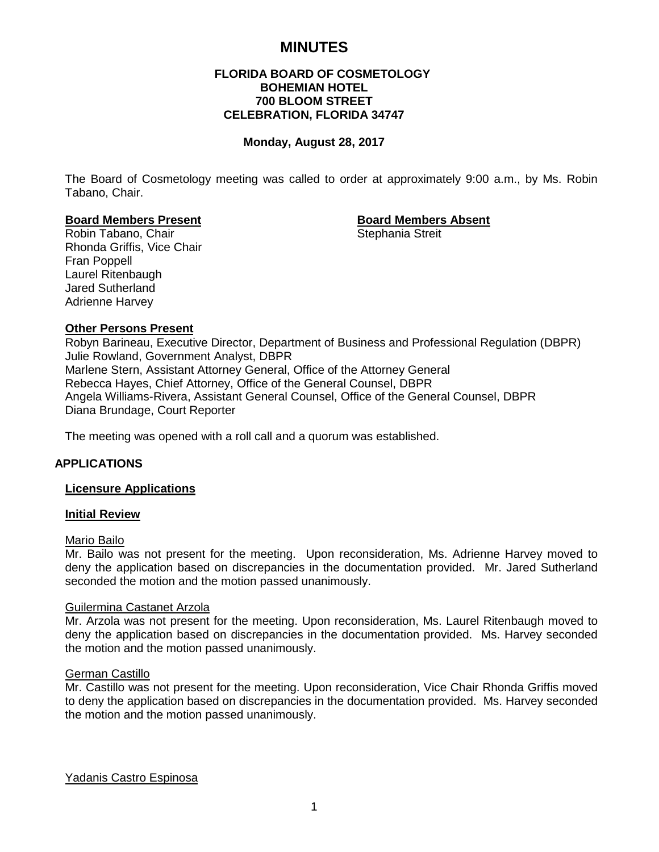# **MINUTES**

# **FLORIDA BOARD OF COSMETOLOGY BOHEMIAN HOTEL 700 BLOOM STREET CELEBRATION, FLORIDA 34747**

#### **Monday, August 28, 2017**

The Board of Cosmetology meeting was called to order at approximately 9:00 a.m., by Ms. Robin Tabano, Chair.

#### **Board Members Present Board Members Absent**

Robin Tabano, Chair Stephania Streit Rhonda Griffis, Vice Chair Fran Poppell Laurel Ritenbaugh Jared Sutherland Adrienne Harvey

# **Other Persons Present**

Robyn Barineau, Executive Director, Department of Business and Professional Regulation (DBPR) Julie Rowland, Government Analyst, DBPR Marlene Stern, Assistant Attorney General, Office of the Attorney General Rebecca Hayes, Chief Attorney, Office of the General Counsel, DBPR Angela Williams-Rivera, Assistant General Counsel, Office of the General Counsel, DBPR Diana Brundage, Court Reporter

The meeting was opened with a roll call and a quorum was established.

# **APPLICATIONS**

# **Licensure Applications**

# **Initial Review**

#### Mario Bailo

Mr. Bailo was not present for the meeting. Upon reconsideration, Ms. Adrienne Harvey moved to deny the application based on discrepancies in the documentation provided. Mr. Jared Sutherland seconded the motion and the motion passed unanimously.

#### Guilermina Castanet Arzola

Mr. Arzola was not present for the meeting. Upon reconsideration, Ms. Laurel Ritenbaugh moved to deny the application based on discrepancies in the documentation provided. Ms. Harvey seconded the motion and the motion passed unanimously.

# German Castillo

Mr. Castillo was not present for the meeting. Upon reconsideration, Vice Chair Rhonda Griffis moved to deny the application based on discrepancies in the documentation provided. Ms. Harvey seconded the motion and the motion passed unanimously.

Yadanis Castro Espinosa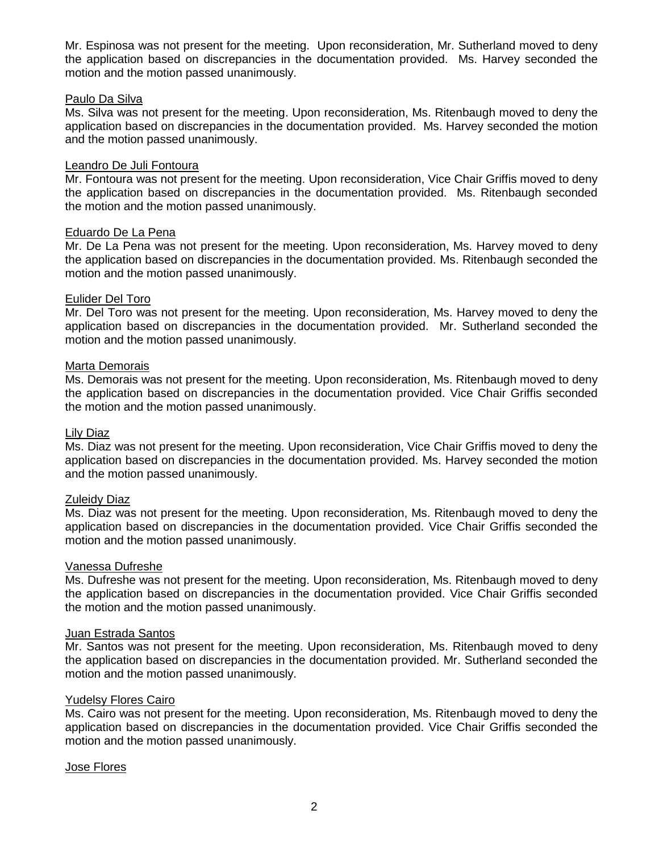Mr. Espinosa was not present for the meeting. Upon reconsideration, Mr. Sutherland moved to deny the application based on discrepancies in the documentation provided. Ms. Harvey seconded the motion and the motion passed unanimously.

# Paulo Da Silva

Ms. Silva was not present for the meeting. Upon reconsideration, Ms. Ritenbaugh moved to deny the application based on discrepancies in the documentation provided. Ms. Harvey seconded the motion and the motion passed unanimously.

# Leandro De Juli Fontoura

Mr. Fontoura was not present for the meeting. Upon reconsideration, Vice Chair Griffis moved to deny the application based on discrepancies in the documentation provided. Ms. Ritenbaugh seconded the motion and the motion passed unanimously.

# Eduardo De La Pena

Mr. De La Pena was not present for the meeting. Upon reconsideration, Ms. Harvey moved to deny the application based on discrepancies in the documentation provided. Ms. Ritenbaugh seconded the motion and the motion passed unanimously.

# Eulider Del Toro

Mr. Del Toro was not present for the meeting. Upon reconsideration, Ms. Harvey moved to deny the application based on discrepancies in the documentation provided. Mr. Sutherland seconded the motion and the motion passed unanimously.

#### Marta Demorais

Ms. Demorais was not present for the meeting. Upon reconsideration, Ms. Ritenbaugh moved to deny the application based on discrepancies in the documentation provided. Vice Chair Griffis seconded the motion and the motion passed unanimously.

#### Lily Diaz

Ms. Diaz was not present for the meeting. Upon reconsideration, Vice Chair Griffis moved to deny the application based on discrepancies in the documentation provided. Ms. Harvey seconded the motion and the motion passed unanimously.

# Zuleidy Diaz

Ms. Diaz was not present for the meeting. Upon reconsideration, Ms. Ritenbaugh moved to deny the application based on discrepancies in the documentation provided. Vice Chair Griffis seconded the motion and the motion passed unanimously.

#### Vanessa Dufreshe

Ms. Dufreshe was not present for the meeting. Upon reconsideration, Ms. Ritenbaugh moved to deny the application based on discrepancies in the documentation provided. Vice Chair Griffis seconded the motion and the motion passed unanimously.

#### Juan Estrada Santos

Mr. Santos was not present for the meeting. Upon reconsideration, Ms. Ritenbaugh moved to deny the application based on discrepancies in the documentation provided. Mr. Sutherland seconded the motion and the motion passed unanimously.

# Yudelsy Flores Cairo

Ms. Cairo was not present for the meeting. Upon reconsideration, Ms. Ritenbaugh moved to deny the application based on discrepancies in the documentation provided. Vice Chair Griffis seconded the motion and the motion passed unanimously.

# Jose Flores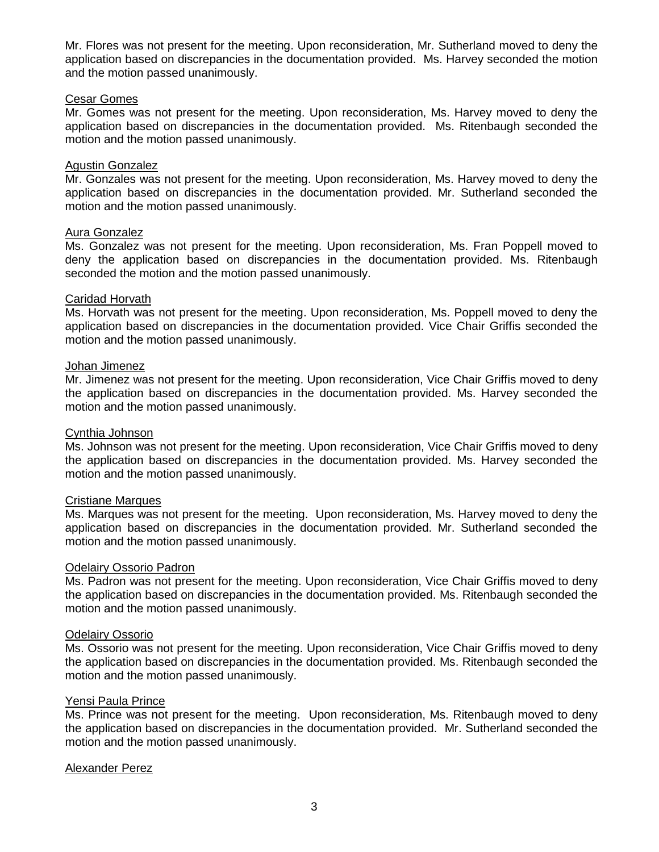Mr. Flores was not present for the meeting. Upon reconsideration, Mr. Sutherland moved to deny the application based on discrepancies in the documentation provided. Ms. Harvey seconded the motion and the motion passed unanimously.

# Cesar Gomes

Mr. Gomes was not present for the meeting. Upon reconsideration, Ms. Harvey moved to deny the application based on discrepancies in the documentation provided. Ms. Ritenbaugh seconded the motion and the motion passed unanimously.

# Agustin Gonzalez

Mr. Gonzales was not present for the meeting. Upon reconsideration, Ms. Harvey moved to deny the application based on discrepancies in the documentation provided. Mr. Sutherland seconded the motion and the motion passed unanimously.

# Aura Gonzalez

Ms. Gonzalez was not present for the meeting. Upon reconsideration, Ms. Fran Poppell moved to deny the application based on discrepancies in the documentation provided. Ms. Ritenbaugh seconded the motion and the motion passed unanimously.

# Caridad Horvath

Ms. Horvath was not present for the meeting. Upon reconsideration, Ms. Poppell moved to deny the application based on discrepancies in the documentation provided. Vice Chair Griffis seconded the motion and the motion passed unanimously.

#### Johan Jimenez

Mr. Jimenez was not present for the meeting. Upon reconsideration, Vice Chair Griffis moved to deny the application based on discrepancies in the documentation provided. Ms. Harvey seconded the motion and the motion passed unanimously.

#### Cynthia Johnson

Ms. Johnson was not present for the meeting. Upon reconsideration, Vice Chair Griffis moved to deny the application based on discrepancies in the documentation provided. Ms. Harvey seconded the motion and the motion passed unanimously.

# Cristiane Marques

Ms. Marques was not present for the meeting. Upon reconsideration, Ms. Harvey moved to deny the application based on discrepancies in the documentation provided. Mr. Sutherland seconded the motion and the motion passed unanimously.

#### Odelairy Ossorio Padron

Ms. Padron was not present for the meeting. Upon reconsideration, Vice Chair Griffis moved to deny the application based on discrepancies in the documentation provided. Ms. Ritenbaugh seconded the motion and the motion passed unanimously.

# Odelairy Ossorio

Ms. Ossorio was not present for the meeting. Upon reconsideration, Vice Chair Griffis moved to deny the application based on discrepancies in the documentation provided. Ms. Ritenbaugh seconded the motion and the motion passed unanimously.

#### Yensi Paula Prince

Ms. Prince was not present for the meeting. Upon reconsideration, Ms. Ritenbaugh moved to deny the application based on discrepancies in the documentation provided. Mr. Sutherland seconded the motion and the motion passed unanimously.

# Alexander Perez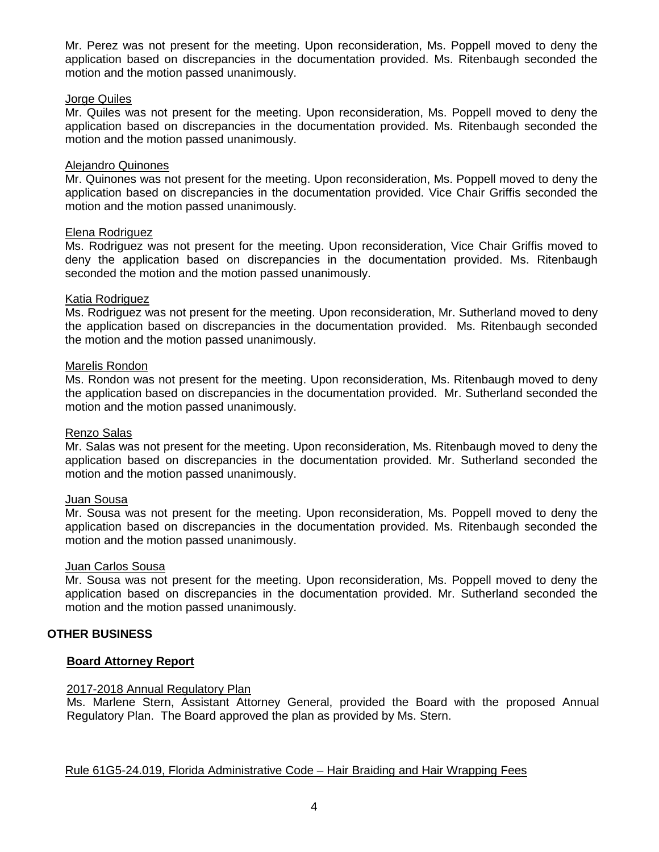Mr. Perez was not present for the meeting. Upon reconsideration, Ms. Poppell moved to deny the application based on discrepancies in the documentation provided. Ms. Ritenbaugh seconded the motion and the motion passed unanimously.

# Jorge Quiles

Mr. Quiles was not present for the meeting. Upon reconsideration, Ms. Poppell moved to deny the application based on discrepancies in the documentation provided. Ms. Ritenbaugh seconded the motion and the motion passed unanimously.

#### Alejandro Quinones

Mr. Quinones was not present for the meeting. Upon reconsideration, Ms. Poppell moved to deny the application based on discrepancies in the documentation provided. Vice Chair Griffis seconded the motion and the motion passed unanimously.

#### Elena Rodriguez

Ms. Rodriguez was not present for the meeting. Upon reconsideration, Vice Chair Griffis moved to deny the application based on discrepancies in the documentation provided. Ms. Ritenbaugh seconded the motion and the motion passed unanimously.

#### Katia Rodriguez

Ms. Rodriguez was not present for the meeting. Upon reconsideration, Mr. Sutherland moved to deny the application based on discrepancies in the documentation provided. Ms. Ritenbaugh seconded the motion and the motion passed unanimously.

#### Marelis Rondon

Ms. Rondon was not present for the meeting. Upon reconsideration, Ms. Ritenbaugh moved to deny the application based on discrepancies in the documentation provided. Mr. Sutherland seconded the motion and the motion passed unanimously.

#### Renzo Salas

Mr. Salas was not present for the meeting. Upon reconsideration, Ms. Ritenbaugh moved to deny the application based on discrepancies in the documentation provided. Mr. Sutherland seconded the motion and the motion passed unanimously.

# Juan Sousa

Mr. Sousa was not present for the meeting. Upon reconsideration, Ms. Poppell moved to deny the application based on discrepancies in the documentation provided. Ms. Ritenbaugh seconded the motion and the motion passed unanimously.

#### Juan Carlos Sousa

Mr. Sousa was not present for the meeting. Upon reconsideration, Ms. Poppell moved to deny the application based on discrepancies in the documentation provided. Mr. Sutherland seconded the motion and the motion passed unanimously.

# **OTHER BUSINESS**

# **Board Attorney Report**

# 2017-2018 Annual Regulatory Plan

Ms. Marlene Stern, Assistant Attorney General, provided the Board with the proposed Annual Regulatory Plan. The Board approved the plan as provided by Ms. Stern.

# Rule 61G5-24.019, Florida Administrative Code – Hair Braiding and Hair Wrapping Fees